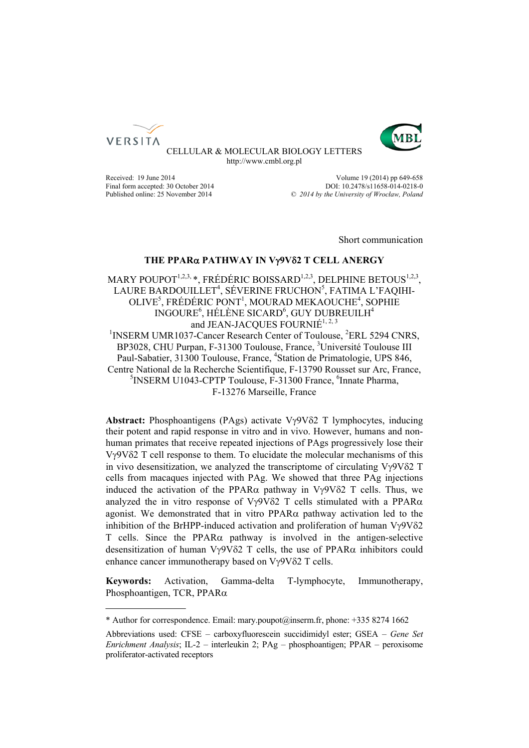



CELLULAR & MOLECULAR BIOLOGY LETTERS http://www.cmbl.org.pl

Received: 19 June 2014 **Volume 19 (2014)** pp 649-658 Final form accepted: 30 October 2014<br>
Published online: 25 November 2014  $\degree$  2014 by the University of Wroclaw. Poland Published online: 25 November 2014 *© 2014 by the University of Wrocław, Poland*

Short communication

# **THE PPAR PATHWAY IN V9V2 T CELL ANERGY**

MARY POUPOT<sup>1,2,3,</sup> \*, FRÉDÉRIC BOISSARD<sup>1,2,3</sup>, DELPHINE BETOUS<sup>1,2,3</sup>, LAURE BARDOUILLET<sup>4</sup>, SÉVERINE FRUCHON<sup>5</sup>, FATIMA L'FAQIHI-OLIVE<sup>5</sup>, FRÉDÉRIC PONT<sup>1</sup>, MOURAD MEKAOUCHE<sup>4</sup>, SOPHIE INGOURE<sup>6</sup>, HÉLÈNE SICARD<sup>6</sup>, GUY DUBREUILH<sup>4</sup> and JEAN-JACQUES FOURNIÉ<sup>1, 2, 3</sup> <sup>1</sup>INSERM UMR1037-Cancer Research Center of Toulouse, <sup>2</sup>ERL 5294 CNRS, BP3028, CHU Purpan, F-31300 Toulouse, France, <sup>3</sup>Université Toulouse III

Paul-Sabatier, 31300 Toulouse, France, <sup>4</sup>Station de Primatologie, UPS 846, Centre National de la Recherche Scientifique, F-13790 Rousset sur Arc, France, <sup>5</sup>INSERM U1043-CPTP Toulouse, F-31300 France, <sup>6</sup>Innate Pharma, F-13276 Marseille, France

**Abstract:** Phosphoantigens (PAgs) activate  $V\gamma9V\delta2$  T lymphocytes, inducing their potent and rapid response in vitro and in vivo. However, humans and nonhuman primates that receive repeated injections of PAgs progressively lose their  $V\gamma9V\delta2$  T cell response to them. To elucidate the molecular mechanisms of this in vivo desensitization, we analyzed the transcriptome of circulating  $V\gamma9V\delta2$  T cells from macaques injected with PAg. We showed that three PAg injections induced the activation of the PPAR $\alpha$  pathway in V $\gamma$ 9V $\delta$ 2 T cells. Thus, we analyzed the in vitro response of V $\gamma$ 9V $\delta$ 2 T cells stimulated with a PPAR $\alpha$ agonist. We demonstrated that in vitro  $PPAR\alpha$  pathway activation led to the inhibition of the BrHPP-induced activation and proliferation of human  $V_{\gamma}9V_{02}$ T cells. Since the PPAR $\alpha$  pathway is involved in the antigen-selective desensitization of human  $V\gamma9V\delta2$  T cells, the use of PPAR $\alpha$  inhibitors could enhance cancer immunotherapy based on  $V\gamma9V\delta2$  T cells.

**Keywords:** Activation, Gamma-delta T-lymphocyte, Immunotherapy, Phosphoantigen, TCR, PPAR $\alpha$ 

<sup>\*</sup> Author for correspondence. Email: mary.poupot@inserm.fr, phone: +335 8274 1662

Abbreviations used: CFSE – carboxyfluorescein succidimidyl ester; GSEA – *Gene Set Enrichment Analysis*; IL-2 – interleukin 2; PAg – phosphoantigen; PPAR – peroxisome proliferator-activated receptors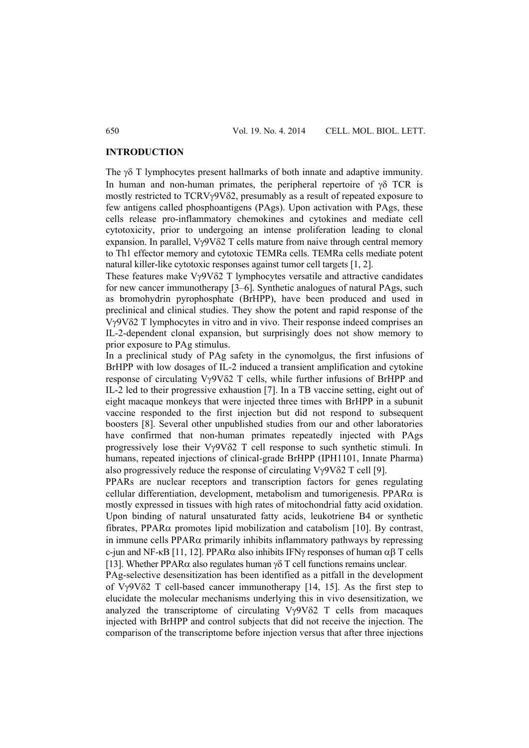### **INTRODUCTION**

The  $\gamma\delta$  T lymphocytes present hallmarks of both innate and adaptive immunity. In human and non-human primates, the peripheral repertoire of  $\gamma$ <sup>8</sup> TCR is mostly restricted to TCRVy9V $\delta$ 2, presumably as a result of repeated exposure to few antigens called phosphoantigens (PAgs). Upon activation with PAgs, these cells release pro-inflammatory chemokines and cytokines and mediate cell cytotoxicity, prior to undergoing an intense proliferation leading to clonal expansion. In parallel,  $Vv9V\delta 2$  T cells mature from naive through central memory to Th1 effector memory and cytotoxic TEMRa cells. TEMRa cells mediate potent natural killer-like cytotoxic responses against tumor cell targets [1, 2].

These features make  $V\gamma9V\delta2$  T lymphocytes versatile and attractive candidates for new cancer immunotherapy [3–6]. Synthetic analogues of natural PAgs, such as bromohydrin pyrophosphate (BrHPP), have been produced and used in preclinical and clinical studies. They show the potent and rapid response of the V9V2 T lymphocytes in vitro and in vivo. Their response indeed comprises an IL-2-dependent clonal expansion, but surprisingly does not show memory to prior exposure to PAg stimulus.

In a preclinical study of PAg safety in the cynomolgus, the first infusions of BrHPP with low dosages of IL-2 induced a transient amplification and cytokine response of circulating Vy9V $\delta$ 2 T cells, while further infusions of BrHPP and IL-2 led to their progressive exhaustion [7]. In a TB vaccine setting, eight out of eight macaque monkeys that were injected three times with BrHPP in a subunit vaccine responded to the first injection but did not respond to subsequent boosters [8]. Several other unpublished studies from our and other laboratories have confirmed that non-human primates repeatedly injected with PAgs progressively lose their  $V\gamma9V\delta2$  T cell response to such synthetic stimuli. In humans, repeated injections of clinical-grade BrHPP (IPH1101, Innate Pharma) also progressively reduce the response of circulating  $V\gamma9V\delta2$  T cell [9].

PPARs are nuclear receptors and transcription factors for genes regulating cellular differentiation, development, metabolism and tumorigenesis. PPAR $\alpha$  is mostly expressed in tissues with high rates of mitochondrial fatty acid oxidation. Upon binding of natural unsaturated fatty acids, leukotriene B4 or synthetic fibrates, PPAR $\alpha$  promotes lipid mobilization and catabolism [10]. By contrast, in immune cells  $PPAR\alpha$  primarily inhibits inflammatory pathways by repressing c-jun and NF-κB [11, 12]. PPAR $\alpha$  also inhibits IFNy responses of human  $\alpha\beta$  T cells [13]. Whether PPAR $\alpha$  also regulates human  $\gamma\delta$  T cell functions remains unclear.

PAg-selective desensitization has been identified as a pitfall in the development of  $V\gamma9V\delta2$  T cell-based cancer immunotherapy [14, 15]. As the first step to elucidate the molecular mechanisms underlying this in vivo desensitization, we analyzed the transcriptome of circulating  $V\gamma9V\delta2$  T cells from macaques injected with BrHPP and control subjects that did not receive the injection. The comparison of the transcriptome before injection versus that after three injections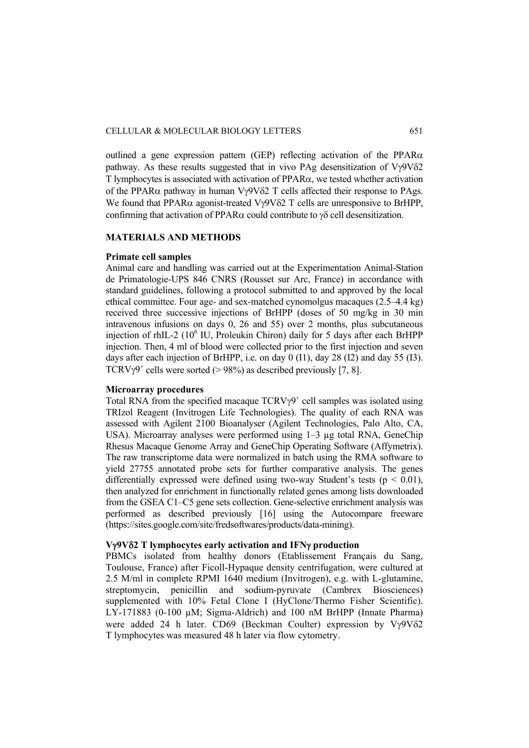outlined a gene expression pattern (GEP) reflecting activation of the PPAR $\alpha$ pathway. As these results suggested that in vivo PAg desensitization of  $Vv9V\delta2$  $T$  lymphocytes is associated with activation of PPAR $\alpha$ , we tested whether activation of the PPAR $\alpha$  pathway in human V $\gamma$ 9V $\delta$ 2 T cells affected their response to PAgs. We found that PPAR $\alpha$  agonist-treated V $\gamma$ 9V $\delta$ 2 T cells are unresponsive to BrHPP, confirming that activation of PPAR $\alpha$  could contribute to  $\gamma\delta$  cell desensitization.

### **MATERIALS AND METHODS**

#### **Primate cell samples**

Animal care and handling was carried out at the Experimentation Animal-Station de Primatologie-UPS 846 CNRS (Rousset sur Arc, France) in accordance with standard guidelines, following a protocol submitted to and approved by the local ethical committee. Four age- and sex-matched cynomolgus macaques (2.5–4.4 kg) received three successive injections of BrHPP (doses of 50 mg/kg in 30 min intravenous infusions on days 0, 26 and 55) over 2 months, plus subcutaneous injection of rhIL-2 (10<sup>6</sup> IU, Proleukin Chiron) daily for 5 days after each BrHPP injection. Then, 4 ml of blood were collected prior to the first injection and seven days after each injection of BrHPP, i.e. on day 0 (I1), day 28 (I2) and day 55 (I3). TCRV $\gamma$ 9<sup>+</sup> cells were sorted (> 98%) as described previously [7, 8].

### **Microarray procedures**

Total RNA from the specified macaque  $TCRV\gamma^{9}$  cell samples was isolated using TRIzol Reagent (Invitrogen Life Technologies). The quality of each RNA was assessed with Agilent 2100 Bioanalyser (Agilent Technologies, Palo Alto, CA, USA). Microarray analyses were performed using 1–3 µg total RNA, GeneChip Rhesus Macaque Genome Array and GeneChip Operating Software (Affymetrix). The raw transcriptome data were normalized in batch using the RMA software to yield 27755 annotated probe sets for further comparative analysis. The genes differentially expressed were defined using two-way Student's tests ( $p < 0.01$ ), then analyzed for enrichment in functionally related genes among lists downloaded from the GSEA C1–C5 gene sets collection. Gene-selective enrichment analysis was performed as described previously [16] using the Autocompare freeware (https://sites.google.com/site/fredsoftwares/products/data-mining).

### **V9V2 T lymphocytes early activation and IFN production**

PBMCs isolated from healthy donors (Etablissement Français du Sang, Toulouse, France) after Ficoll-Hypaque density centrifugation, were cultured at 2.5 M/ml in complete RPMI 1640 medium (Invitrogen), e.g. with L-glutamine, streptomycin, penicillin and sodium-pyruvate (Cambrex Biosciences) supplemented with 10% Fetal Clone I (HyClone/Thermo Fisher Scientific). LY-171883 (0-100 µM; Sigma-Aldrich) and 100 nM BrHPP (Innate Pharma) were added 24 h later. CD69 (Beckman Coulter) expression by  $V\gamma9V\delta2$ T lymphocytes was measured 48 h later via flow cytometry.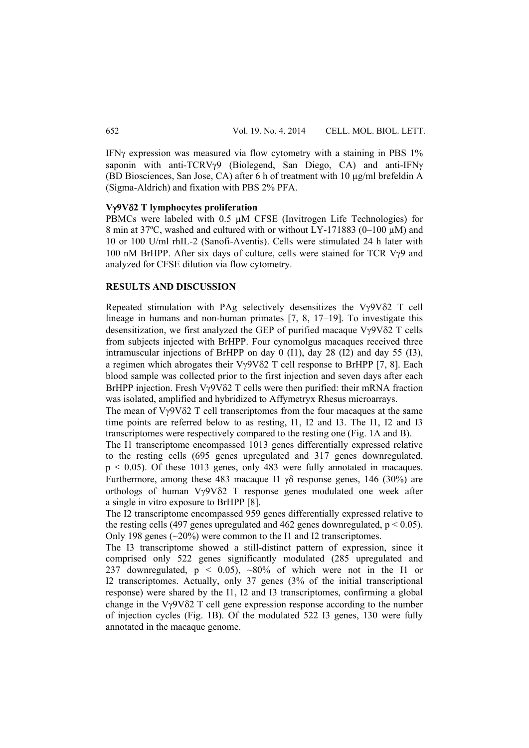IFN expression was measured via flow cytometry with a staining in PBS  $1\%$ saponin with anti-TCRVy9 (Biolegend, San Diego, CA) and anti-IFNy (BD Biosciences, San Jose, CA) after 6 h of treatment with 10 µg/ml brefeldin A (Sigma-Aldrich) and fixation with PBS 2% PFA.

#### **V9V2 T lymphocytes proliferation**

PBMCs were labeled with 0.5  $\mu$ M CFSE (Invitrogen Life Technologies) for 8 min at 37°C, washed and cultured with or without LY-171883 (0–100 µM) and 10 or 100 U/ml rhIL-2 (Sanofi-Aventis). Cells were stimulated 24 h later with 100 nM BrHPP. After six days of culture, cells were stained for TCR V $\gamma$ 9 and analyzed for CFSE dilution via flow cytometry.

## **RESULTS AND DISCUSSION**

Repeated stimulation with PAg selectively desensitizes the  $V\gamma9V\delta2$  T cell lineage in humans and non-human primates [7, 8, 17–19]. To investigate this desensitization, we first analyzed the GEP of purified macaque  $V\gamma9V\delta2$  T cells from subjects injected with BrHPP. Four cynomolgus macaques received three intramuscular injections of BrHPP on day 0 (I1), day 28 (I2) and day 55 (I3), a regimen which abrogates their  $V\gamma9V\delta2$  T cell response to BrHPP [7, 8]. Each blood sample was collected prior to the first injection and seven days after each BrHPP injection. Fresh  $V\gamma9V\delta2$  T cells were then purified: their mRNA fraction was isolated, amplified and hybridized to Affymetryx Rhesus microarrays.

The mean of  $V\gamma9V\delta2$  T cell transcriptomes from the four macaques at the same time points are referred below to as resting, I1, I2 and I3. The I1, I2 and I3 transcriptomes were respectively compared to the resting one (Fig. 1A and B).

The I1 transcriptome encompassed 1013 genes differentially expressed relative to the resting cells (695 genes upregulated and 317 genes downregulated,  $p < 0.05$ ). Of these 1013 genes, only 483 were fully annotated in macaques. Furthermore, among these 483 macaque I1  $\gamma\delta$  response genes, 146 (30%) are orthologs of human  $Vv9V\delta2$  T response genes modulated one week after a single in vitro exposure to BrHPP [8].

The I2 transcriptome encompassed 959 genes differentially expressed relative to the resting cells (497 genes upregulated and 462 genes downregulated,  $p < 0.05$ ). Only 198 genes (~20%) were common to the I1 and I2 transcriptomes.

The I3 transcriptome showed a still-distinct pattern of expression, since it comprised only 522 genes significantly modulated (285 upregulated and 237 downregulated,  $p \le 0.05$ ,  $\sim 80\%$  of which were not in the I1 or I2 transcriptomes. Actually, only 37 genes (3% of the initial transcriptional response) were shared by the I1, I2 and I3 transcriptomes, confirming a global change in the V $\gamma$ 9V $\delta$ 2 T cell gene expression response according to the number of injection cycles (Fig. 1B). Of the modulated 522 I3 genes, 130 were fully annotated in the macaque genome.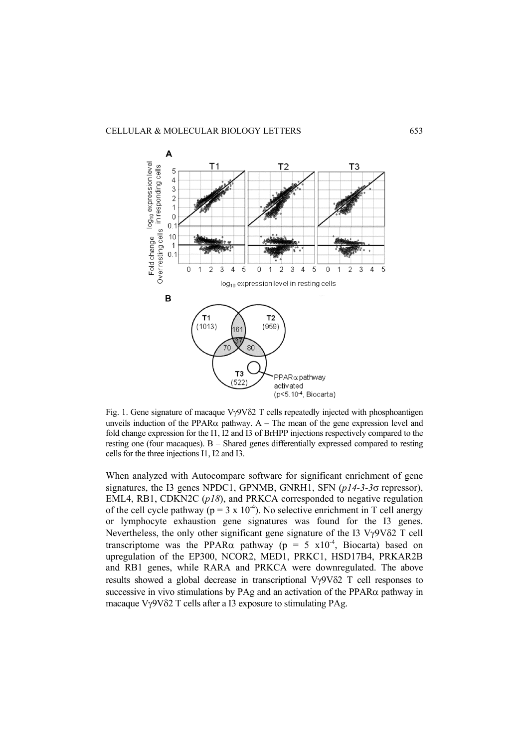

Fig. 1. Gene signature of macaque  $V\gamma9V\delta2$  T cells repeatedly injected with phosphoantigen unveils induction of the PPAR $\alpha$  pathway. A – The mean of the gene expression level and fold change expression for the I1, I2 and I3 of BrHPP injections respectively compared to the resting one (four macaques). B – Shared genes differentially expressed compared to resting cells for the three injections I1, I2 and I3.

When analyzed with Autocompare software for significant enrichment of gene signatures, the I3 genes NPDC1, GPNMB, GNRH1, SFN (*p14-3-3* $\sigma$  repressor), EML4, RB1, CDKN2C (*p18*), and PRKCA corresponded to negative regulation of the cell cycle pathway ( $p = 3 \times 10^{-4}$ ). No selective enrichment in T cell anergy or lymphocyte exhaustion gene signatures was found for the I3 genes. Nevertheless, the only other significant gene signature of the I3  $V\gamma9V\delta2$  T cell transcriptome was the PPAR $\alpha$  pathway (p = 5 x10<sup>-4</sup>, Biocarta) based on upregulation of the EP300, NCOR2, MED1, PRKC1, HSD17B4, PRKAR2B and RB1 genes, while RARA and PRKCA were downregulated. The above results showed a global decrease in transcriptional  $V\gamma9V\delta2$  T cell responses to successive in vivo stimulations by PAg and an activation of the PPAR $\alpha$  pathway in macaque  $V\gamma9V\delta2$  T cells after a I3 exposure to stimulating PAg.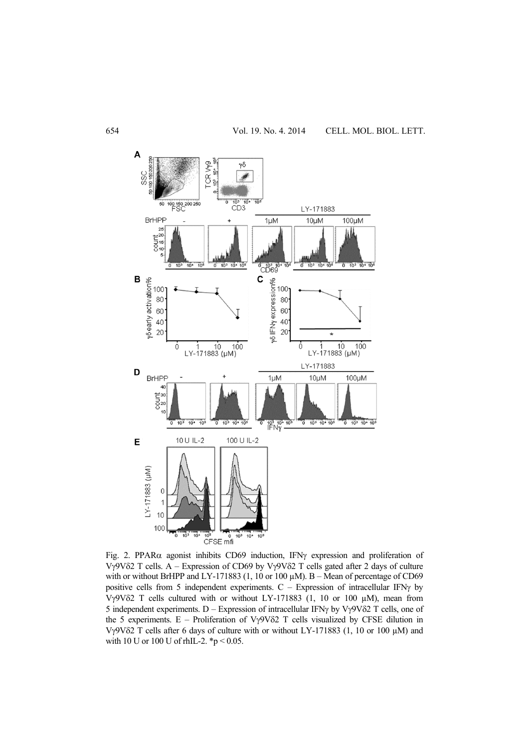

Fig. 2. PPAR $\alpha$  agonist inhibits CD69 induction, IFN $\gamma$  expression and proliferation of Vy9V $\delta$ 2 T cells. A – Expression of CD69 by Vy9V $\delta$ 2 T cells gated after 2 days of culture with or without BrHPP and LY-171883 (1, 10 or 100  $\mu$ M). B - Mean of percentage of CD69 positive cells from 5 independent experiments.  $C -$  Expression of intracellular IFN $\gamma$  by V $\gamma$ 9V $\delta$ 2 T cells cultured with or without LY-171883 (1, 10 or 100  $\mu$ M), mean from 5 independent experiments. D – Expression of intracellular IFN $\gamma$  by V $\gamma$ 9V $\delta$ 2 T cells, one of the 5 experiments.  $E -$  Proliferation of V $\gamma$ 9V $\delta$ 2 T cells visualized by CFSE dilution in V $\gamma$ 9V $\delta$ 2 T cells after 6 days of culture with or without LY-171883 (1, 10 or 100  $\mu$ M) and with 10 U or 100 U of rhIL-2. \*p < 0.05.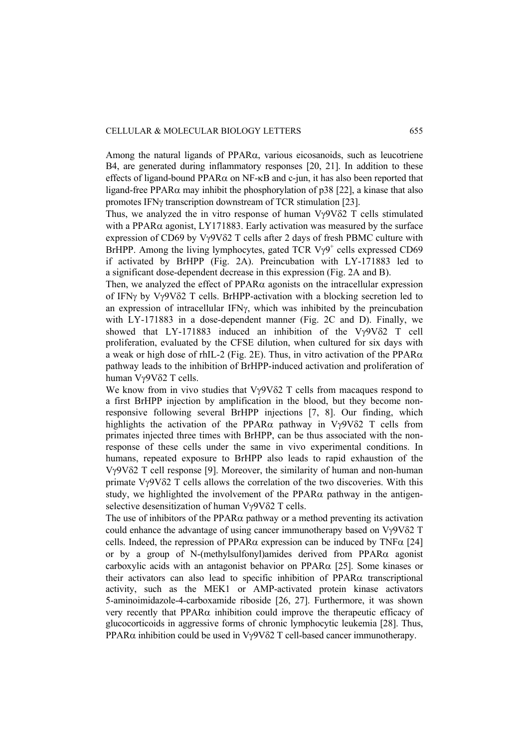Among the natural ligands of  $PPAR\alpha$ , various eicosanoids, such as leucotriene B4, are generated during inflammatory responses [20, 21]. In addition to these effects of ligand-bound PPAR $\alpha$  on NF- $\kappa$ B and c-jun, it has also been reported that ligand-free PPAR $\alpha$  may inhibit the phosphorylation of p38 [22], a kinase that also promotes IFN $\gamma$  transcription downstream of TCR stimulation [23].

Thus, we analyzed the in vitro response of human  $V\gamma9V\delta2$  T cells stimulated with a PPAR $\alpha$  agonist, LY171883. Early activation was measured by the surface expression of CD69 by V $\gamma$ 9V $\delta$ 2 T cells after 2 days of fresh PBMC culture with BrHPP. Among the living lymphocytes, gated TCR  $V\gamma9^+$  cells expressed CD69 if activated by BrHPP (Fig. 2A). Preincubation with LY-171883 led to a significant dose-dependent decrease in this expression (Fig. 2A and B).

Then, we analyzed the effect of  $PPAR\alpha$  agonists on the intracellular expression of IFN $\gamma$  by V $\gamma$ 9V $\delta$ 2 T cells. BrHPP-activation with a blocking secretion led to an expression of intracellular IFN<sub>Y</sub>, which was inhibited by the preincubation with LY-171883 in a dose-dependent manner (Fig. 2C and D). Finally, we showed that  $LY-171883$  induced an inhibition of the  $V\gamma9V\delta2$  T cell proliferation, evaluated by the CFSE dilution, when cultured for six days with a weak or high dose of rhIL-2 (Fig. 2E). Thus, in vitro activation of the PPAR $\alpha$ pathway leads to the inhibition of BrHPP-induced activation and proliferation of human Vy9V82 T cells.

We know from in vivo studies that  $V\gamma9V\delta2$  T cells from macaques respond to a first BrHPP injection by amplification in the blood, but they become nonresponsive following several BrHPP injections [7, 8]. Our finding, which highlights the activation of the PPAR $\alpha$  pathway in V $\gamma$ 9V $\delta$ 2 T cells from primates injected three times with BrHPP, can be thus associated with the nonresponse of these cells under the same in vivo experimental conditions. In humans, repeated exposure to BrHPP also leads to rapid exhaustion of the Vy9V82 T cell response [9]. Moreover, the similarity of human and non-human primate  $V\gamma9V\delta2$  T cells allows the correlation of the two discoveries. With this study, we highlighted the involvement of the PPAR $\alpha$  pathway in the antigenselective desensitization of human  $Vv9V\delta2$  T cells.

The use of inhibitors of the PPAR $\alpha$  pathway or a method preventing its activation could enhance the advantage of using cancer immunotherapy based on  $V\gamma9V\delta2$  T cells. Indeed, the repression of PPAR $\alpha$  expression can be induced by TNF $\alpha$  [24] or by a group of N-(methylsulfonyl)amides derived from PPAR $\alpha$  agonist carboxylic acids with an antagonist behavior on  $PPAR\alpha$  [25]. Some kinases or their activators can also lead to specific inhibition of  $PPAR\alpha$  transcriptional activity, such as the MEK1 or AMP-activated protein kinase activators 5-aminoimidazole-4-carboxamide riboside [26, 27]. Furthermore, it was shown very recently that  $PPAR\alpha$  inhibition could improve the therapeutic efficacy of glucocorticoids in aggressive forms of chronic lymphocytic leukemia [28]. Thus,  $PPAR\alpha$  inhibition could be used in  $V\gamma9V\delta2$  T cell-based cancer immunotherapy.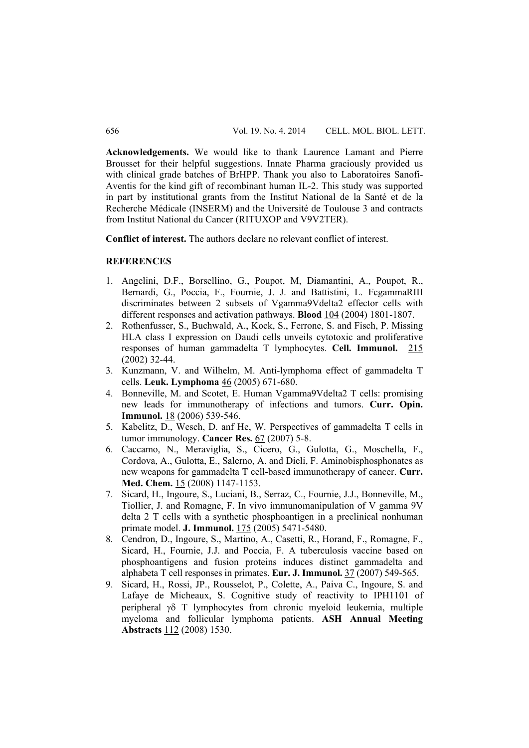**Acknowledgements.** We would like to thank Laurence Lamant and Pierre Brousset for their helpful suggestions. Innate Pharma graciously provided us with clinical grade batches of BrHPP. Thank you also to Laboratoires Sanofi-Aventis for the kind gift of recombinant human IL-2. This study was supported in part by institutional grants from the Institut National de la Santé et de la Recherche Médicale (INSERM) and the Université de Toulouse 3 and contracts from Institut National du Cancer (RITUXOP and V9V2TER).

**Conflict of interest.** The authors declare no relevant conflict of interest.

#### **REFERENCES**

- 1. Angelini, D.F., Borsellino, G., Poupot, M, Diamantini, A., Poupot, R., Bernardi, G., Poccia, F., Fournie, J. J. and Battistini, L. FcgammaRIII discriminates between 2 subsets of Vgamma9Vdelta2 effector cells with different responses and activation pathways. **Blood** 104 (2004) 1801-1807.
- 2. Rothenfusser, S., Buchwald, A., Kock, S., Ferrone, S. and Fisch, P. Missing HLA class I expression on Daudi cells unveils cytotoxic and proliferative responses of human gammadelta T lymphocytes. **Cell. Immunol.** 215 (2002) 32-44.
- 3. Kunzmann, V. and Wilhelm, M. Anti-lymphoma effect of gammadelta T cells. **Leuk. Lymphoma** 46 (2005) 671-680.
- 4. Bonneville, M. and Scotet, E. Human Vgamma9Vdelta2 T cells: promising new leads for immunotherapy of infections and tumors. **Curr. Opin. Immunol.** 18 (2006) 539-546.
- 5. Kabelitz, D., Wesch, D. anf He, W. Perspectives of gammadelta T cells in tumor immunology. **Cancer Res.** 67 (2007) 5-8.
- 6. Caccamo, N., Meraviglia, S., Cicero, G., Gulotta, G., Moschella, F., Cordova, A., Gulotta, E., Salerno, A. and Dieli, F. Aminobisphosphonates as new weapons for gammadelta T cell-based immunotherapy of cancer. **Curr. Med. Chem.** 15 (2008) 1147-1153.
- 7. Sicard, H., Ingoure, S., Luciani, B., Serraz, C., Fournie, J.J., Bonneville, M., Tiollier, J. and Romagne, F. In vivo immunomanipulation of V gamma 9V delta 2 T cells with a synthetic phosphoantigen in a preclinical nonhuman primate model. **J. Immunol.** 175 (2005) 5471-5480.
- 8. Cendron, D., Ingoure, S., Martino, A., Casetti, R., Horand, F., Romagne, F., Sicard, H., Fournie, J.J. and Poccia, F. A tuberculosis vaccine based on phosphoantigens and fusion proteins induces distinct gammadelta and alphabeta T cell responses in primates. **Eur. J. Immunol.** 37 (2007) 549-565.
- 9. Sicard, H., Rossi, JP., Rousselot, P., Colette, A., Paiva C., Ingoure, S. and Lafaye de Micheaux, S. Cognitive study of reactivity to IPH1101 of peripheral  $\gamma\delta$  T lymphocytes from chronic myeloid leukemia, multiple myeloma and follicular lymphoma patients. **ASH Annual Meeting Abstracts** 112 (2008) 1530.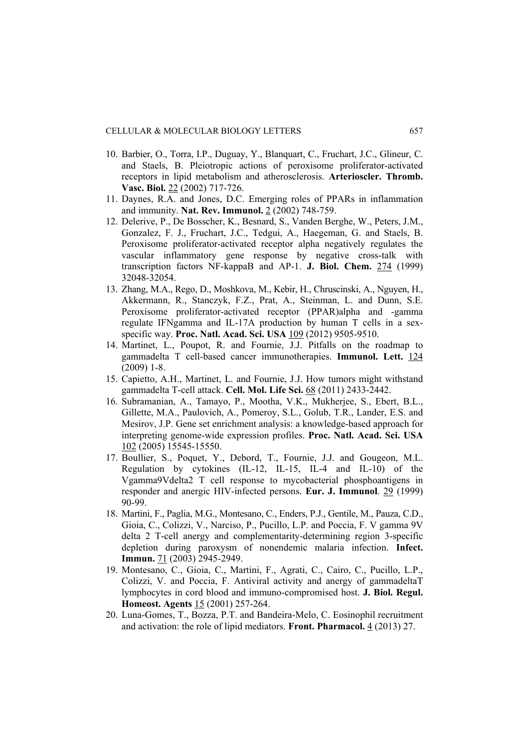- 10. Barbier, O., Torra, I.P., Duguay, Y., Blanquart, C., Fruchart, J.C., Glineur, C. and Staels, B. Pleiotropic actions of peroxisome proliferator-activated receptors in lipid metabolism and atherosclerosis. **Arterioscler. Thromb. Vasc. Biol.** 22 (2002) 717-726.
- 11. Daynes, R.A. and Jones, D.C. Emerging roles of PPARs in inflammation and immunity. **Nat. Rev. Immunol.** 2 (2002) 748-759.
- 12. Delerive, P., De Bosscher, K., Besnard, S., Vanden Berghe, W., Peters, J.M., Gonzalez, F. J., Fruchart, J.C., Tedgui, A., Haegeman, G. and Staels, B. Peroxisome proliferator-activated receptor alpha negatively regulates the vascular inflammatory gene response by negative cross-talk with transcription factors NF-kappaB and AP-1. **J. Biol. Chem.** 274 (1999) 32048-32054.
- 13. Zhang, M.A., Rego, D., Moshkova, M., Kebir, H., Chruscinski, A., Nguyen, H., Akkermann, R., Stanczyk, F.Z., Prat, A., Steinman, L. and Dunn, S.E. Peroxisome proliferator-activated receptor (PPAR)alpha and -gamma regulate IFNgamma and IL-17A production by human T cells in a sexspecific way. **Proc. Natl. Acad. Sci. USA** 109 (2012) 9505-9510.
- 14. Martinet, L., Poupot, R. and Fournie, J.J. Pitfalls on the roadmap to gammadelta T cell-based cancer immunotherapies. **Immunol. Lett.** 124 (2009) 1-8.
- 15. Capietto, A.H., Martinet, L. and Fournie, J.J. How tumors might withstand gammadelta T-cell attack. **Cell. Mol. Life Sci.** 68 (2011) 2433-2442.
- 16. Subramanian, A., Tamayo, P., Mootha, V.K., Mukherjee, S., Ebert, B.L., Gillette, M.A., Paulovich, A., Pomeroy, S.L., Golub, T.R., Lander, E.S. and Mesirov, J.P. Gene set enrichment analysis: a knowledge-based approach for interpreting genome-wide expression profiles. **Proc. Natl. Acad. Sci. USA** 102 (2005) 15545-15550.
- 17. Boullier, S., Poquet, Y., Debord, T., Fournie, J.J. and Gougeon, M.L. Regulation by cytokines (IL-12, IL-15, IL-4 and IL-10) of the Vgamma9Vdelta2 T cell response to mycobacterial phosphoantigens in responder and anergic HIV-infected persons. **Eur. J. Immunol**. 29 (1999) 90-99.
- 18. Martini, F., Paglia, M.G., Montesano, C., Enders, P.J., Gentile, M., Pauza, C.D., Gioia, C., Colizzi, V., Narciso, P., Pucillo, L.P. and Poccia, F. V gamma 9V delta 2 T-cell anergy and complementarity-determining region 3-specific depletion during paroxysm of nonendemic malaria infection. **Infect. Immun.** 71 (2003) 2945-2949.
- 19. Montesano, C., Gioia, C., Martini, F., Agrati, C., Cairo, C., Pucillo, L.P., Colizzi, V. and Poccia, F. Antiviral activity and anergy of gammadeltaT lymphocytes in cord blood and immuno-compromised host. **J. Biol. Regul. Homeost. Agents** 15 (2001) 257-264.
- 20. Luna-Gomes, T., Bozza, P.T. and Bandeira-Melo, C. Eosinophil recruitment and activation: the role of lipid mediators. **Front. Pharmacol.** 4 (2013) 27.